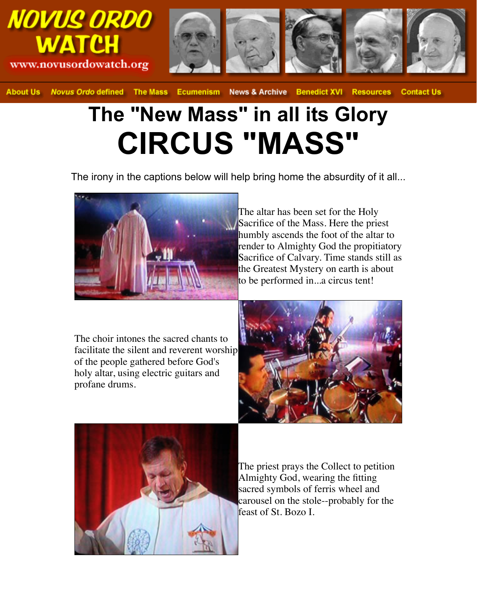





**About Us Novus Ordo defined The Mass** Ecumenism News & Archive Benedict XVI Resources **Contact Us** 

## **The "New Mass" in all its Glory CIRCUS "MASS"**

The irony in the captions below will help bring home the absurdity of it all...



The altar has been set for the Holy Sacrifice of the Mass. Here the priest humbly ascends the foot of the altar to render to Almighty God the propitiatory Sacrifice of Calvary. Time stands still as the Greatest Mystery on earth is about to be performed in...a circus tent!

The choir intones the sacred chants to facilitate the silent and reverent worship of the people gathered before God's holy altar, using electric guitars and profane drums.





The priest prays the Collect to petition Almighty God, wearing the fitting sacred symbols of ferris wheel and carousel on the stole--probably for the feast of St. Bozo I.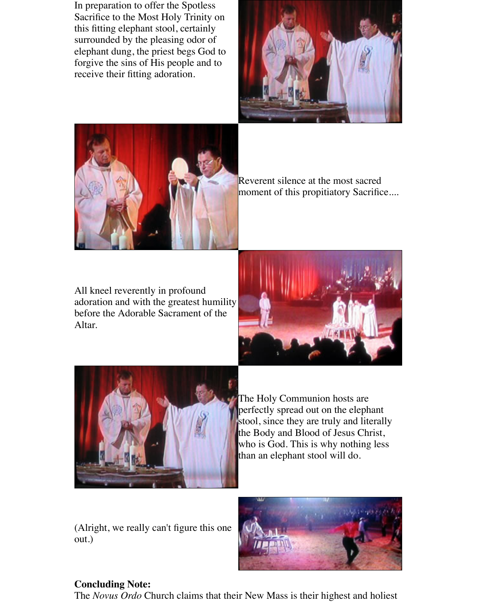In preparation to offer the Spotless Sacrifice to the Most Holy Trinity on this fitting elephant stool, certainly surrounded by the pleasing odor of elephant dung, the priest begs God to forgive the sins of His people and to receive their fitting adoration.





Reverent silence at the most sacred moment of this propitiatory Sacrifice....

All kneel reverently in profound adoration and with the greatest humility before the Adorable Sacrament of the Altar.





The Holy Communion hosts are perfectly spread out on the elephant stool, since they are truly and literally the Body and Blood of Jesus Christ, who is God. This is why nothing less than an elephant stool will do.

(Alright, we really can't figure this one out.)



## **Concluding Note:**

The *Novus Ordo* Church claims that their New Mass is their highest and holiest